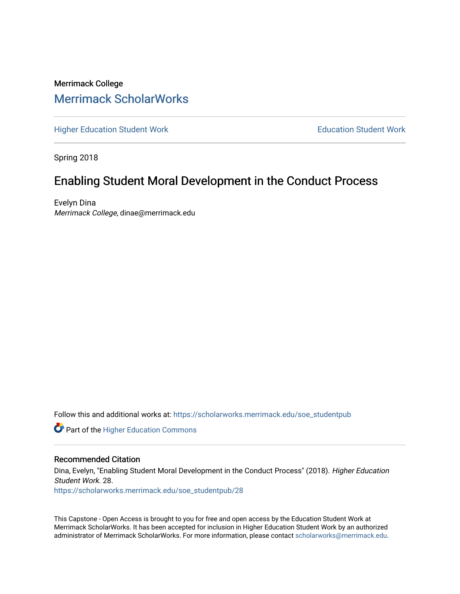# Merrimack College [Merrimack ScholarWorks](https://scholarworks.merrimack.edu/)

[Higher Education Student Work](https://scholarworks.merrimack.edu/soe_studentpub) **Education Student Work** Education Student Work

Spring 2018

# Enabling Student Moral Development in the Conduct Process

Evelyn Dina Merrimack College, dinae@merrimack.edu

Follow this and additional works at: [https://scholarworks.merrimack.edu/soe\\_studentpub](https://scholarworks.merrimack.edu/soe_studentpub?utm_source=scholarworks.merrimack.edu%2Fsoe_studentpub%2F28&utm_medium=PDF&utm_campaign=PDFCoverPages) 

**Part of the Higher Education Commons** 

## Recommended Citation

Dina, Evelyn, "Enabling Student Moral Development in the Conduct Process" (2018). Higher Education Student Work. 28. [https://scholarworks.merrimack.edu/soe\\_studentpub/28](https://scholarworks.merrimack.edu/soe_studentpub/28?utm_source=scholarworks.merrimack.edu%2Fsoe_studentpub%2F28&utm_medium=PDF&utm_campaign=PDFCoverPages) 

This Capstone - Open Access is brought to you for free and open access by the Education Student Work at Merrimack ScholarWorks. It has been accepted for inclusion in Higher Education Student Work by an authorized administrator of Merrimack ScholarWorks. For more information, please contact [scholarworks@merrimack.edu](mailto:scholarworks@merrimack.edu).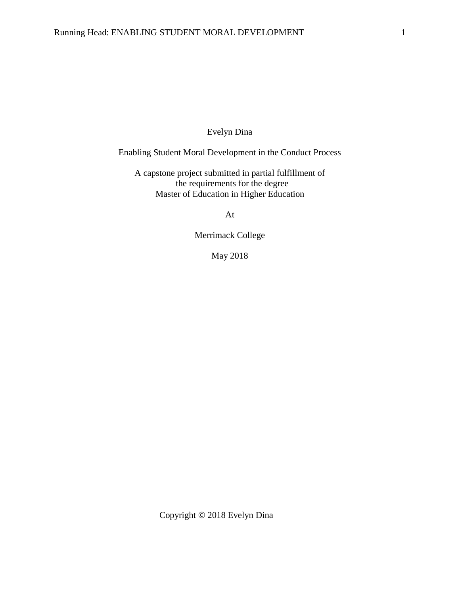# Evelyn Dina

# Enabling Student Moral Development in the Conduct Process

A capstone project submitted in partial fulfillment of the requirements for the degree Master of Education in Higher Education

At

Merrimack College

May 2018

Copyright  $@$  2018 Evelyn Dina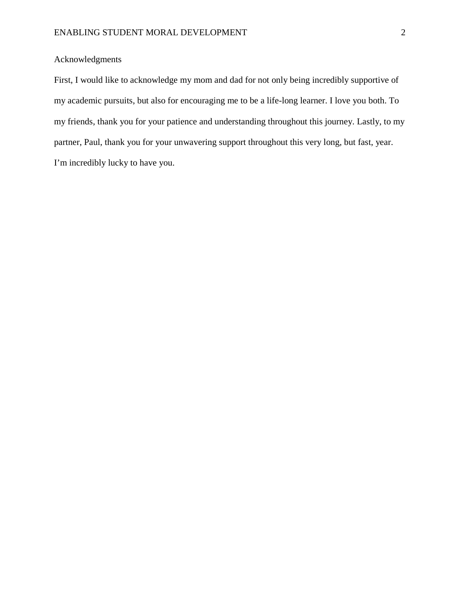# Acknowledgments

First, I would like to acknowledge my mom and dad for not only being incredibly supportive of my academic pursuits, but also for encouraging me to be a life-long learner. I love you both. To my friends, thank you for your patience and understanding throughout this journey. Lastly, to my partner, Paul, thank you for your unwavering support throughout this very long, but fast, year. I'm incredibly lucky to have you.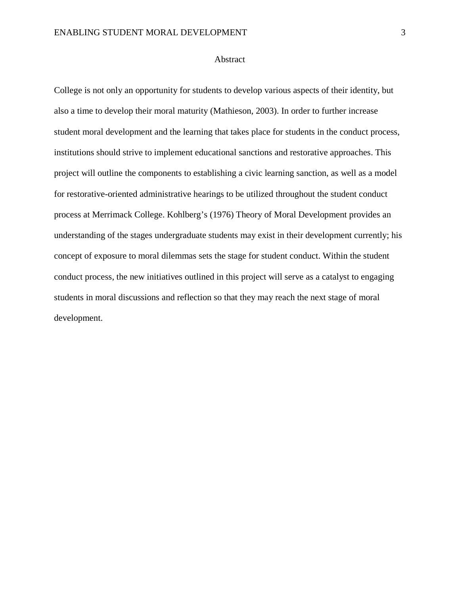## Abstract

College is not only an opportunity for students to develop various aspects of their identity, but also a time to develop their moral maturity (Mathieson, 2003). In order to further increase student moral development and the learning that takes place for students in the conduct process, institutions should strive to implement educational sanctions and restorative approaches. This project will outline the components to establishing a civic learning sanction, as well as a model for restorative-oriented administrative hearings to be utilized throughout the student conduct process at Merrimack College. Kohlberg's (1976) Theory of Moral Development provides an understanding of the stages undergraduate students may exist in their development currently; his concept of exposure to moral dilemmas sets the stage for student conduct. Within the student conduct process, the new initiatives outlined in this project will serve as a catalyst to engaging students in moral discussions and reflection so that they may reach the next stage of moral development.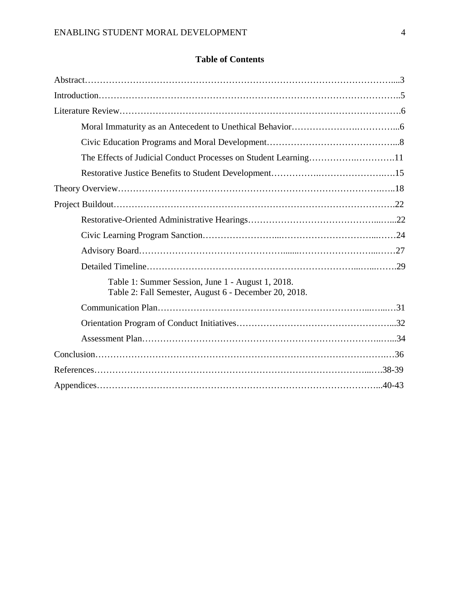# **Table of Contents**

| The Effects of Judicial Conduct Processes on Student Learning11                                            |  |
|------------------------------------------------------------------------------------------------------------|--|
|                                                                                                            |  |
|                                                                                                            |  |
|                                                                                                            |  |
|                                                                                                            |  |
|                                                                                                            |  |
|                                                                                                            |  |
|                                                                                                            |  |
| Table 1: Summer Session, June 1 - August 1, 2018.<br>Table 2: Fall Semester, August 6 - December 20, 2018. |  |
|                                                                                                            |  |
|                                                                                                            |  |
|                                                                                                            |  |
|                                                                                                            |  |
|                                                                                                            |  |
|                                                                                                            |  |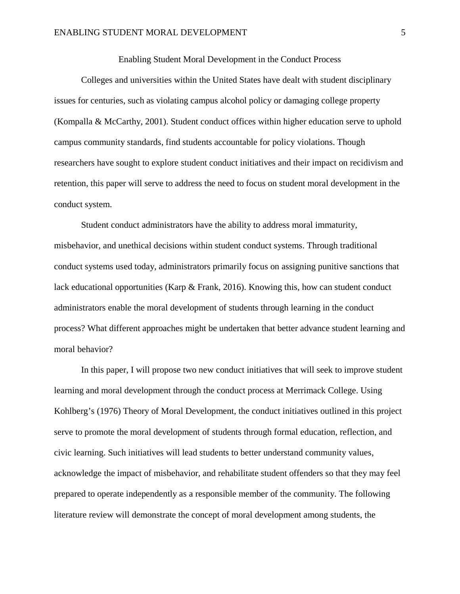# Enabling Student Moral Development in the Conduct Process

Colleges and universities within the United States have dealt with student disciplinary issues for centuries, such as violating campus alcohol policy or damaging college property (Kompalla & McCarthy, 2001). Student conduct offices within higher education serve to uphold campus community standards, find students accountable for policy violations. Though researchers have sought to explore student conduct initiatives and their impact on recidivism and retention, this paper will serve to address the need to focus on student moral development in the conduct system.

Student conduct administrators have the ability to address moral immaturity, misbehavior, and unethical decisions within student conduct systems. Through traditional conduct systems used today, administrators primarily focus on assigning punitive sanctions that lack educational opportunities (Karp & Frank, 2016). Knowing this, how can student conduct administrators enable the moral development of students through learning in the conduct process? What different approaches might be undertaken that better advance student learning and moral behavior?

In this paper, I will propose two new conduct initiatives that will seek to improve student learning and moral development through the conduct process at Merrimack College. Using Kohlberg's (1976) Theory of Moral Development, the conduct initiatives outlined in this project serve to promote the moral development of students through formal education, reflection, and civic learning. Such initiatives will lead students to better understand community values, acknowledge the impact of misbehavior, and rehabilitate student offenders so that they may feel prepared to operate independently as a responsible member of the community. The following literature review will demonstrate the concept of moral development among students, the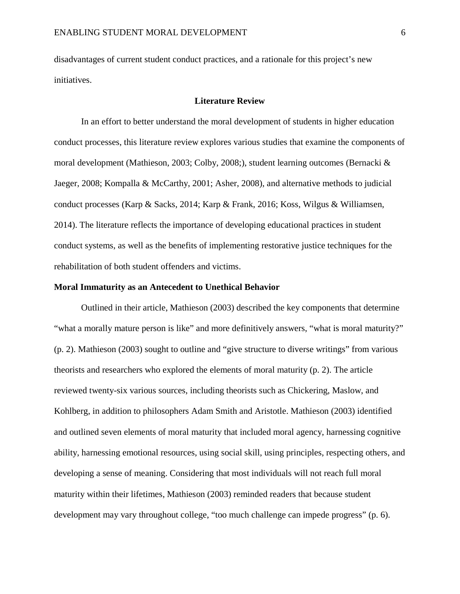disadvantages of current student conduct practices, and a rationale for this project's new initiatives.

# **Literature Review**

In an effort to better understand the moral development of students in higher education conduct processes, this literature review explores various studies that examine the components of moral development (Mathieson, 2003; Colby, 2008;), student learning outcomes (Bernacki & Jaeger, 2008; Kompalla & McCarthy, 2001; Asher, 2008), and alternative methods to judicial conduct processes (Karp & Sacks, 2014; Karp & Frank, 2016; Koss, Wilgus & Williamsen, 2014). The literature reflects the importance of developing educational practices in student conduct systems, as well as the benefits of implementing restorative justice techniques for the rehabilitation of both student offenders and victims.

## **Moral Immaturity as an Antecedent to Unethical Behavior**

Outlined in their article, Mathieson (2003) described the key components that determine "what a morally mature person is like" and more definitively answers, "what is moral maturity?" (p. 2). Mathieson (2003) sought to outline and "give structure to diverse writings" from various theorists and researchers who explored the elements of moral maturity (p. 2). The article reviewed twenty-six various sources, including theorists such as Chickering, Maslow, and Kohlberg, in addition to philosophers Adam Smith and Aristotle. Mathieson (2003) identified and outlined seven elements of moral maturity that included moral agency, harnessing cognitive ability, harnessing emotional resources, using social skill, using principles, respecting others, and developing a sense of meaning. Considering that most individuals will not reach full moral maturity within their lifetimes, Mathieson (2003) reminded readers that because student development may vary throughout college, "too much challenge can impede progress" (p. 6).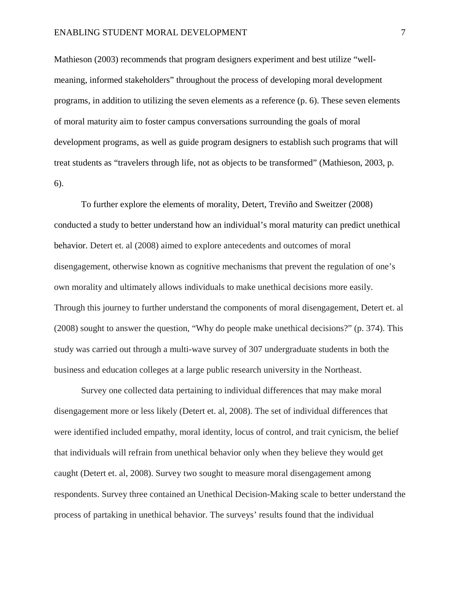## ENABLING STUDENT MORAL DEVELOPMENT 7

Mathieson (2003) recommends that program designers experiment and best utilize "wellmeaning, informed stakeholders" throughout the process of developing moral development programs, in addition to utilizing the seven elements as a reference (p. 6). These seven elements of moral maturity aim to foster campus conversations surrounding the goals of moral development programs, as well as guide program designers to establish such programs that will treat students as "travelers through life, not as objects to be transformed" (Mathieson, 2003, p. 6).

To further explore the elements of morality, Detert, Treviño and Sweitzer (2008) conducted a study to better understand how an individual's moral maturity can predict unethical behavior. Detert et. al (2008) aimed to explore antecedents and outcomes of moral disengagement, otherwise known as cognitive mechanisms that prevent the regulation of one's own morality and ultimately allows individuals to make unethical decisions more easily. Through this journey to further understand the components of moral disengagement, Detert et. al (2008) sought to answer the question, "Why do people make unethical decisions?" (p. 374). This study was carried out through a multi-wave survey of 307 undergraduate students in both the business and education colleges at a large public research university in the Northeast.

Survey one collected data pertaining to individual differences that may make moral disengagement more or less likely (Detert et. al, 2008). The set of individual differences that were identified included empathy, moral identity, locus of control, and trait cynicism, the belief that individuals will refrain from unethical behavior only when they believe they would get caught (Detert et. al, 2008). Survey two sought to measure moral disengagement among respondents. Survey three contained an Unethical Decision-Making scale to better understand the process of partaking in unethical behavior. The surveys' results found that the individual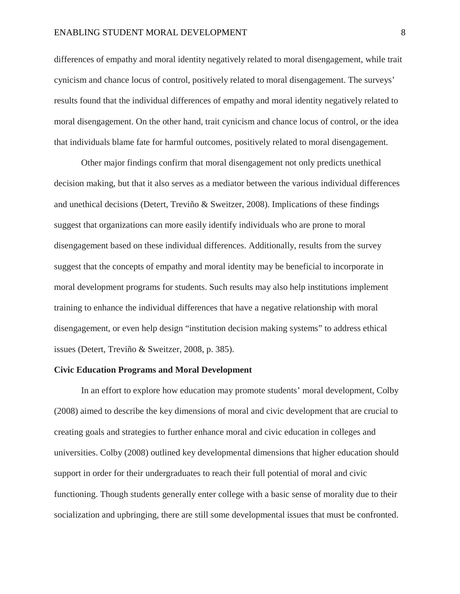## ENABLING STUDENT MORAL DEVELOPMENT 8

differences of empathy and moral identity negatively related to moral disengagement, while trait cynicism and chance locus of control, positively related to moral disengagement. The surveys' results found that the individual differences of empathy and moral identity negatively related to moral disengagement. On the other hand, trait cynicism and chance locus of control, or the idea that individuals blame fate for harmful outcomes, positively related to moral disengagement.

Other major findings confirm that moral disengagement not only predicts unethical decision making, but that it also serves as a mediator between the various individual differences and unethical decisions (Detert, Treviño & Sweitzer, 2008). Implications of these findings suggest that organizations can more easily identify individuals who are prone to moral disengagement based on these individual differences. Additionally, results from the survey suggest that the concepts of empathy and moral identity may be beneficial to incorporate in moral development programs for students. Such results may also help institutions implement training to enhance the individual differences that have a negative relationship with moral disengagement, or even help design "institution decision making systems" to address ethical issues (Detert, Treviño & Sweitzer, 2008, p. 385).

# **Civic Education Programs and Moral Development**

In an effort to explore how education may promote students' moral development, Colby (2008) aimed to describe the key dimensions of moral and civic development that are crucial to creating goals and strategies to further enhance moral and civic education in colleges and universities. Colby (2008) outlined key developmental dimensions that higher education should support in order for their undergraduates to reach their full potential of moral and civic functioning. Though students generally enter college with a basic sense of morality due to their socialization and upbringing, there are still some developmental issues that must be confronted.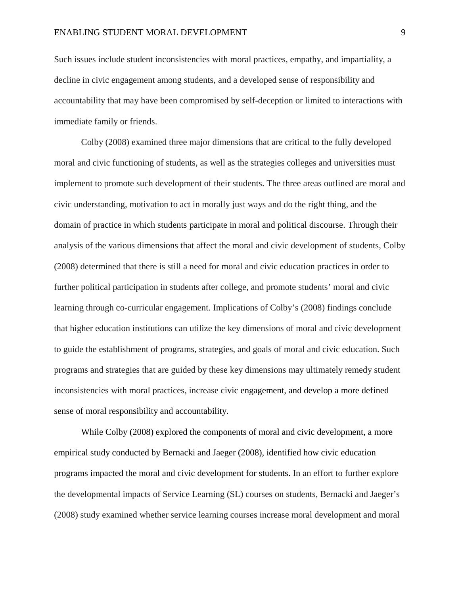Such issues include student inconsistencies with moral practices, empathy, and impartiality, a decline in civic engagement among students, and a developed sense of responsibility and accountability that may have been compromised by self-deception or limited to interactions with immediate family or friends.

Colby (2008) examined three major dimensions that are critical to the fully developed moral and civic functioning of students, as well as the strategies colleges and universities must implement to promote such development of their students. The three areas outlined are moral and civic understanding, motivation to act in morally just ways and do the right thing, and the domain of practice in which students participate in moral and political discourse. Through their analysis of the various dimensions that affect the moral and civic development of students, Colby (2008) determined that there is still a need for moral and civic education practices in order to further political participation in students after college, and promote students' moral and civic learning through co-curricular engagement. Implications of Colby's (2008) findings conclude that higher education institutions can utilize the key dimensions of moral and civic development to guide the establishment of programs, strategies, and goals of moral and civic education. Such programs and strategies that are guided by these key dimensions may ultimately remedy student inconsistencies with moral practices, increase civic engagement, and develop a more defined sense of moral responsibility and accountability.

While Colby (2008) explored the components of moral and civic development, a more empirical study conducted by Bernacki and Jaeger (2008), identified how civic education programs impacted the moral and civic development for students. In an effort to further explore the developmental impacts of Service Learning (SL) courses on students, Bernacki and Jaeger's (2008) study examined whether service learning courses increase moral development and moral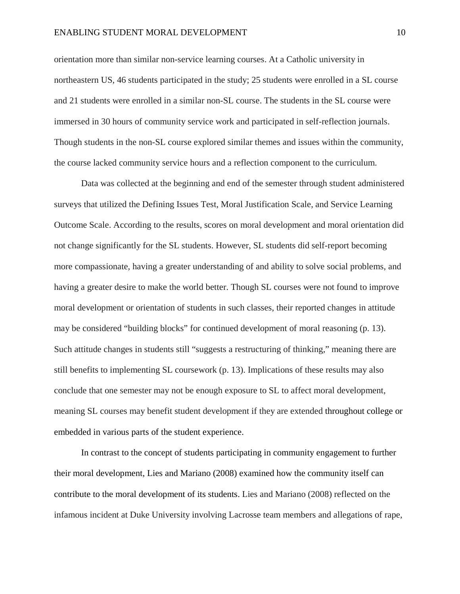#### ENABLING STUDENT MORAL DEVELOPMENT 10

orientation more than similar non-service learning courses. At a Catholic university in northeastern US, 46 students participated in the study; 25 students were enrolled in a SL course and 21 students were enrolled in a similar non-SL course. The students in the SL course were immersed in 30 hours of community service work and participated in self-reflection journals. Though students in the non-SL course explored similar themes and issues within the community, the course lacked community service hours and a reflection component to the curriculum.

Data was collected at the beginning and end of the semester through student administered surveys that utilized the Defining Issues Test, Moral Justification Scale, and Service Learning Outcome Scale. According to the results, scores on moral development and moral orientation did not change significantly for the SL students. However, SL students did self-report becoming more compassionate, having a greater understanding of and ability to solve social problems, and having a greater desire to make the world better. Though SL courses were not found to improve moral development or orientation of students in such classes, their reported changes in attitude may be considered "building blocks" for continued development of moral reasoning (p. 13). Such attitude changes in students still "suggests a restructuring of thinking," meaning there are still benefits to implementing SL coursework (p. 13). Implications of these results may also conclude that one semester may not be enough exposure to SL to affect moral development, meaning SL courses may benefit student development if they are extended throughout college or embedded in various parts of the student experience.

In contrast to the concept of students participating in community engagement to further their moral development, Lies and Mariano (2008) examined how the community itself can contribute to the moral development of its students. Lies and Mariano (2008) reflected on the infamous incident at Duke University involving Lacrosse team members and allegations of rape,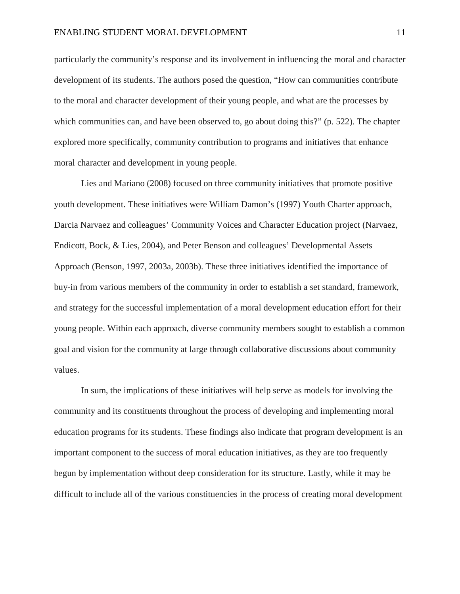particularly the community's response and its involvement in influencing the moral and character development of its students. The authors posed the question, "How can communities contribute to the moral and character development of their young people, and what are the processes by which communities can, and have been observed to, go about doing this?" (p. 522). The chapter explored more specifically, community contribution to programs and initiatives that enhance moral character and development in young people.

Lies and Mariano (2008) focused on three community initiatives that promote positive youth development. These initiatives were William Damon's (1997) Youth Charter approach, Darcia Narvaez and colleagues' Community Voices and Character Education project (Narvaez, Endicott, Bock, & Lies, 2004), and Peter Benson and colleagues' Developmental Assets Approach (Benson, 1997, 2003a, 2003b). These three initiatives identified the importance of buy-in from various members of the community in order to establish a set standard, framework, and strategy for the successful implementation of a moral development education effort for their young people. Within each approach, diverse community members sought to establish a common goal and vision for the community at large through collaborative discussions about community values.

In sum, the implications of these initiatives will help serve as models for involving the community and its constituents throughout the process of developing and implementing moral education programs for its students. These findings also indicate that program development is an important component to the success of moral education initiatives, as they are too frequently begun by implementation without deep consideration for its structure. Lastly, while it may be difficult to include all of the various constituencies in the process of creating moral development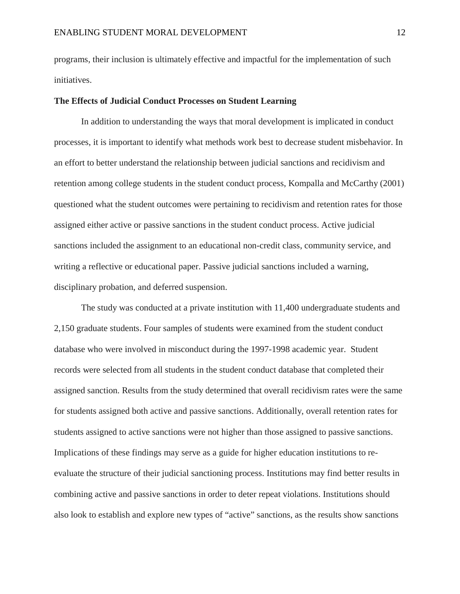programs, their inclusion is ultimately effective and impactful for the implementation of such initiatives.

# **The Effects of Judicial Conduct Processes on Student Learning**

In addition to understanding the ways that moral development is implicated in conduct processes, it is important to identify what methods work best to decrease student misbehavior. In an effort to better understand the relationship between judicial sanctions and recidivism and retention among college students in the student conduct process, Kompalla and McCarthy (2001) questioned what the student outcomes were pertaining to recidivism and retention rates for those assigned either active or passive sanctions in the student conduct process. Active judicial sanctions included the assignment to an educational non-credit class, community service, and writing a reflective or educational paper. Passive judicial sanctions included a warning, disciplinary probation, and deferred suspension.

The study was conducted at a private institution with 11,400 undergraduate students and 2,150 graduate students. Four samples of students were examined from the student conduct database who were involved in misconduct during the 1997-1998 academic year. Student records were selected from all students in the student conduct database that completed their assigned sanction. Results from the study determined that overall recidivism rates were the same for students assigned both active and passive sanctions. Additionally, overall retention rates for students assigned to active sanctions were not higher than those assigned to passive sanctions. Implications of these findings may serve as a guide for higher education institutions to reevaluate the structure of their judicial sanctioning process. Institutions may find better results in combining active and passive sanctions in order to deter repeat violations. Institutions should also look to establish and explore new types of "active" sanctions, as the results show sanctions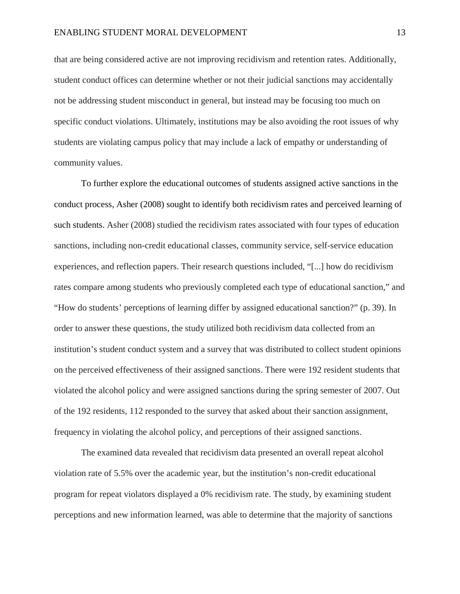## ENABLING STUDENT MORAL DEVELOPMENT 13

that are being considered active are not improving recidivism and retention rates. Additionally, student conduct offices can determine whether or not their judicial sanctions may accidentally not be addressing student misconduct in general, but instead may be focusing too much on specific conduct violations. Ultimately, institutions may be also avoiding the root issues of why students are violating campus policy that may include a lack of empathy or understanding of community values.

To further explore the educational outcomes of students assigned active sanctions in the conduct process, Asher (2008) sought to identify both recidivism rates and perceived learning of such students. Asher (2008) studied the recidivism rates associated with four types of education sanctions, including non-credit educational classes, community service, self-service education experiences, and reflection papers. Their research questions included, "[...] how do recidivism rates compare among students who previously completed each type of educational sanction," and "How do students' perceptions of learning differ by assigned educational sanction?" (p. 39). In order to answer these questions, the study utilized both recidivism data collected from an institution's student conduct system and a survey that was distributed to collect student opinions on the perceived effectiveness of their assigned sanctions. There were 192 resident students that violated the alcohol policy and were assigned sanctions during the spring semester of 2007. Out of the 192 residents, 112 responded to the survey that asked about their sanction assignment, frequency in violating the alcohol policy, and perceptions of their assigned sanctions.

The examined data revealed that recidivism data presented an overall repeat alcohol violation rate of 5.5% over the academic year, but the institution's non-credit educational program for repeat violators displayed a 0% recidivism rate. The study, by examining student perceptions and new information learned, was able to determine that the majority of sanctions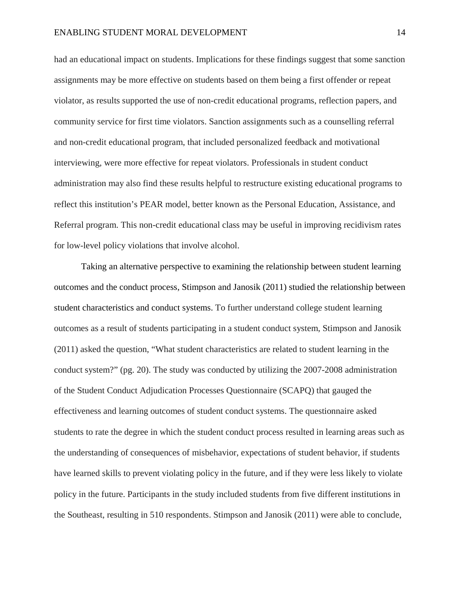had an educational impact on students. Implications for these findings suggest that some sanction assignments may be more effective on students based on them being a first offender or repeat violator, as results supported the use of non-credit educational programs, reflection papers, and community service for first time violators. Sanction assignments such as a counselling referral and non-credit educational program, that included personalized feedback and motivational interviewing, were more effective for repeat violators. Professionals in student conduct administration may also find these results helpful to restructure existing educational programs to reflect this institution's PEAR model, better known as the Personal Education, Assistance, and Referral program. This non-credit educational class may be useful in improving recidivism rates for low-level policy violations that involve alcohol.

Taking an alternative perspective to examining the relationship between student learning outcomes and the conduct process, Stimpson and Janosik (2011) studied the relationship between student characteristics and conduct systems. To further understand college student learning outcomes as a result of students participating in a student conduct system, Stimpson and Janosik (2011) asked the question, "What student characteristics are related to student learning in the conduct system?" (pg. 20). The study was conducted by utilizing the 2007-2008 administration of the Student Conduct Adjudication Processes Questionnaire (SCAPQ) that gauged the effectiveness and learning outcomes of student conduct systems. The questionnaire asked students to rate the degree in which the student conduct process resulted in learning areas such as the understanding of consequences of misbehavior, expectations of student behavior, if students have learned skills to prevent violating policy in the future, and if they were less likely to violate policy in the future. Participants in the study included students from five different institutions in the Southeast, resulting in 510 respondents. Stimpson and Janosik (2011) were able to conclude,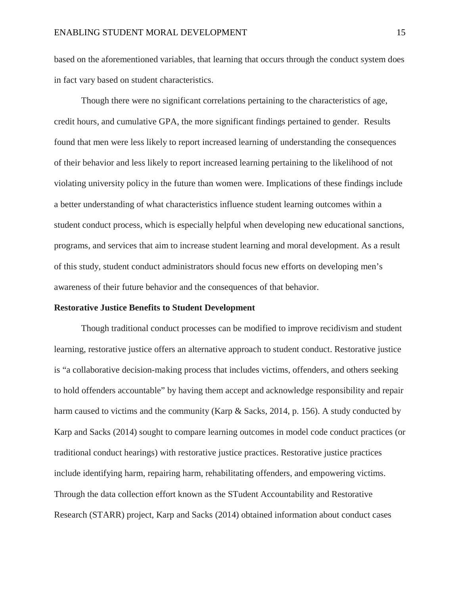based on the aforementioned variables, that learning that occurs through the conduct system does in fact vary based on student characteristics.

Though there were no significant correlations pertaining to the characteristics of age, credit hours, and cumulative GPA, the more significant findings pertained to gender. Results found that men were less likely to report increased learning of understanding the consequences of their behavior and less likely to report increased learning pertaining to the likelihood of not violating university policy in the future than women were. Implications of these findings include a better understanding of what characteristics influence student learning outcomes within a student conduct process, which is especially helpful when developing new educational sanctions, programs, and services that aim to increase student learning and moral development. As a result of this study, student conduct administrators should focus new efforts on developing men's awareness of their future behavior and the consequences of that behavior.

#### **Restorative Justice Benefits to Student Development**

Though traditional conduct processes can be modified to improve recidivism and student learning, restorative justice offers an alternative approach to student conduct. Restorative justice is "a collaborative decision-making process that includes victims, offenders, and others seeking to hold offenders accountable" by having them accept and acknowledge responsibility and repair harm caused to victims and the community (Karp & Sacks, 2014, p. 156). A study conducted by Karp and Sacks (2014) sought to compare learning outcomes in model code conduct practices (or traditional conduct hearings) with restorative justice practices. Restorative justice practices include identifying harm, repairing harm, rehabilitating offenders, and empowering victims. Through the data collection effort known as the STudent Accountability and Restorative Research (STARR) project, Karp and Sacks (2014) obtained information about conduct cases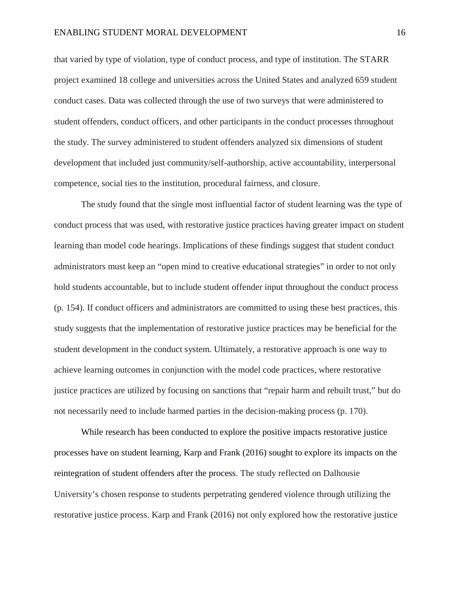that varied by type of violation, type of conduct process, and type of institution. The STARR project examined 18 college and universities across the United States and analyzed 659 student conduct cases. Data was collected through the use of two surveys that were administered to student offenders, conduct officers, and other participants in the conduct processes throughout the study. The survey administered to student offenders analyzed six dimensions of student development that included just community/self-authorship, active accountability, interpersonal competence, social ties to the institution, procedural fairness, and closure.

The study found that the single most influential factor of student learning was the type of conduct process that was used, with restorative justice practices having greater impact on student learning than model code hearings. Implications of these findings suggest that student conduct administrators must keep an "open mind to creative educational strategies" in order to not only hold students accountable, but to include student offender input throughout the conduct process (p. 154). If conduct officers and administrators are committed to using these best practices, this study suggests that the implementation of restorative justice practices may be beneficial for the student development in the conduct system. Ultimately, a restorative approach is one way to achieve learning outcomes in conjunction with the model code practices, where restorative justice practices are utilized by focusing on sanctions that "repair harm and rebuilt trust," but do not necessarily need to include harmed parties in the decision-making process (p. 170).

While research has been conducted to explore the positive impacts restorative justice processes have on student learning, Karp and Frank (2016) sought to explore its impacts on the reintegration of student offenders after the process. The study reflected on Dalhousie University's chosen response to students perpetrating gendered violence through utilizing the restorative justice process. Karp and Frank (2016) not only explored how the restorative justice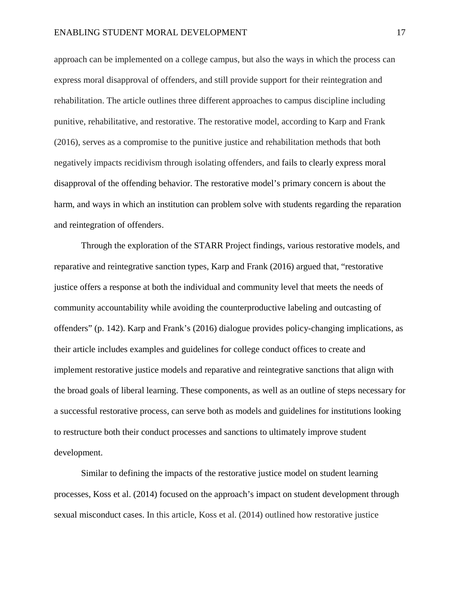approach can be implemented on a college campus, but also the ways in which the process can express moral disapproval of offenders, and still provide support for their reintegration and rehabilitation. The article outlines three different approaches to campus discipline including punitive, rehabilitative, and restorative. The restorative model, according to Karp and Frank (2016), serves as a compromise to the punitive justice and rehabilitation methods that both negatively impacts recidivism through isolating offenders, and fails to clearly express moral disapproval of the offending behavior. The restorative model's primary concern is about the harm, and ways in which an institution can problem solve with students regarding the reparation and reintegration of offenders.

Through the exploration of the STARR Project findings, various restorative models, and reparative and reintegrative sanction types, Karp and Frank (2016) argued that, "restorative justice offers a response at both the individual and community level that meets the needs of community accountability while avoiding the counterproductive labeling and outcasting of offenders" (p. 142). Karp and Frank's (2016) dialogue provides policy-changing implications, as their article includes examples and guidelines for college conduct offices to create and implement restorative justice models and reparative and reintegrative sanctions that align with the broad goals of liberal learning. These components, as well as an outline of steps necessary for a successful restorative process, can serve both as models and guidelines for institutions looking to restructure both their conduct processes and sanctions to ultimately improve student development.

Similar to defining the impacts of the restorative justice model on student learning processes, Koss et al. (2014) focused on the approach's impact on student development through sexual misconduct cases. In this article, Koss et al. (2014) outlined how restorative justice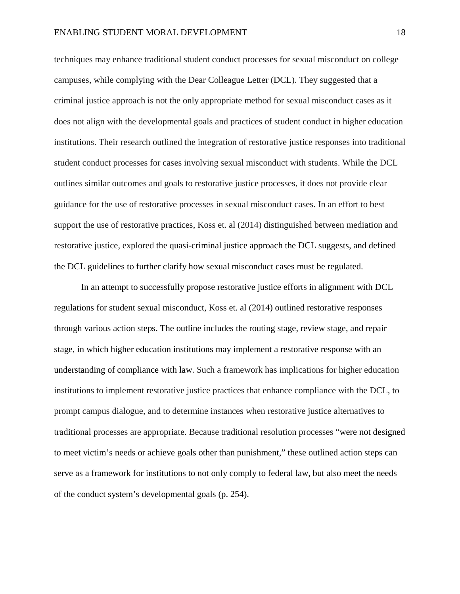techniques may enhance traditional student conduct processes for sexual misconduct on college campuses, while complying with the Dear Colleague Letter (DCL). They suggested that a criminal justice approach is not the only appropriate method for sexual misconduct cases as it does not align with the developmental goals and practices of student conduct in higher education institutions. Their research outlined the integration of restorative justice responses into traditional student conduct processes for cases involving sexual misconduct with students. While the DCL outlines similar outcomes and goals to restorative justice processes, it does not provide clear guidance for the use of restorative processes in sexual misconduct cases. In an effort to best support the use of restorative practices, Koss et. al (2014) distinguished between mediation and restorative justice, explored the quasi-criminal justice approach the DCL suggests, and defined the DCL guidelines to further clarify how sexual misconduct cases must be regulated.

In an attempt to successfully propose restorative justice efforts in alignment with DCL regulations for student sexual misconduct, Koss et. al (2014) outlined restorative responses through various action steps. The outline includes the routing stage, review stage, and repair stage, in which higher education institutions may implement a restorative response with an understanding of compliance with law. Such a framework has implications for higher education institutions to implement restorative justice practices that enhance compliance with the DCL, to prompt campus dialogue, and to determine instances when restorative justice alternatives to traditional processes are appropriate. Because traditional resolution processes "were not designed to meet victim's needs or achieve goals other than punishment," these outlined action steps can serve as a framework for institutions to not only comply to federal law, but also meet the needs of the conduct system's developmental goals (p. 254).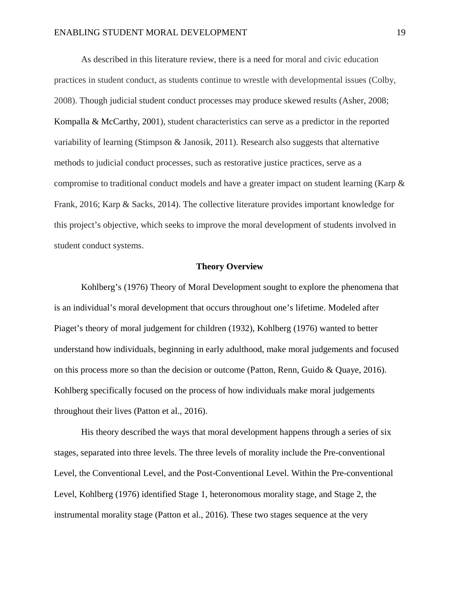As described in this literature review, there is a need for moral and civic education practices in student conduct, as students continue to wrestle with developmental issues (Colby, 2008). Though judicial student conduct processes may produce skewed results (Asher, 2008; Kompalla & McCarthy, 2001), student characteristics can serve as a predictor in the reported variability of learning (Stimpson & Janosik, 2011). Research also suggests that alternative methods to judicial conduct processes, such as restorative justice practices, serve as a compromise to traditional conduct models and have a greater impact on student learning (Karp & Frank, 2016; Karp & Sacks, 2014). The collective literature provides important knowledge for this project's objective, which seeks to improve the moral development of students involved in student conduct systems.

#### **Theory Overview**

Kohlberg's (1976) Theory of Moral Development sought to explore the phenomena that is an individual's moral development that occurs throughout one's lifetime. Modeled after Piaget's theory of moral judgement for children (1932), Kohlberg (1976) wanted to better understand how individuals, beginning in early adulthood, make moral judgements and focused on this process more so than the decision or outcome (Patton, Renn, Guido & Quaye, 2016). Kohlberg specifically focused on the process of how individuals make moral judgements throughout their lives (Patton et al., 2016).

His theory described the ways that moral development happens through a series of six stages, separated into three levels. The three levels of morality include the Pre-conventional Level, the Conventional Level, and the Post-Conventional Level. Within the Pre-conventional Level, Kohlberg (1976) identified Stage 1, heteronomous morality stage, and Stage 2, the instrumental morality stage (Patton et al., 2016). These two stages sequence at the very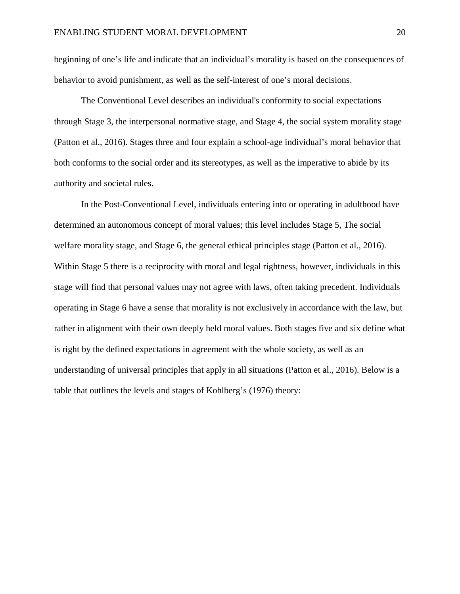beginning of one's life and indicate that an individual's morality is based on the consequences of behavior to avoid punishment, as well as the self-interest of one's moral decisions.

The Conventional Level describes an individual's conformity to social expectations through Stage 3, the interpersonal normative stage, and Stage 4, the social system morality stage (Patton et al., 2016). Stages three and four explain a school-age individual's moral behavior that both conforms to the social order and its stereotypes, as well as the imperative to abide by its authority and societal rules.

In the Post-Conventional Level, individuals entering into or operating in adulthood have determined an autonomous concept of moral values; this level includes Stage 5, The social welfare morality stage, and Stage 6, the general ethical principles stage (Patton et al., 2016). Within Stage 5 there is a reciprocity with moral and legal rightness, however, individuals in this stage will find that personal values may not agree with laws, often taking precedent. Individuals operating in Stage 6 have a sense that morality is not exclusively in accordance with the law, but rather in alignment with their own deeply held moral values. Both stages five and six define what is right by the defined expectations in agreement with the whole society, as well as an understanding of universal principles that apply in all situations (Patton et al., 2016). Below is a table that outlines the levels and stages of Kohlberg's (1976) theory: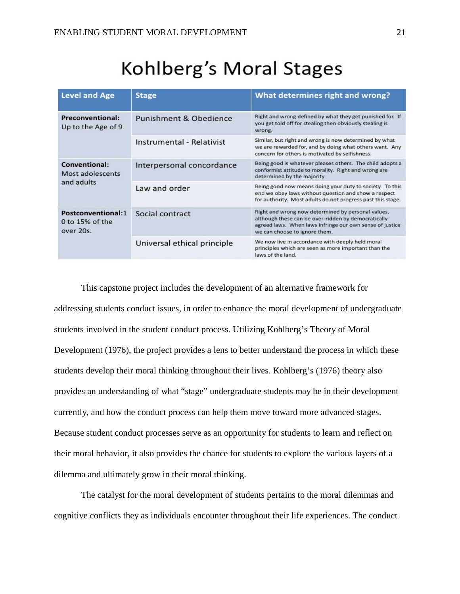# Kohlberg's Moral Stages

| <b>Level and Age</b>                               | <b>Stage</b>                | What determines right and wrong?                                                                                                                                                                       |
|----------------------------------------------------|-----------------------------|--------------------------------------------------------------------------------------------------------------------------------------------------------------------------------------------------------|
| Preconventional:<br>Up to the Age of 9             | Punishment & Obedience      | Right and wrong defined by what they get punished for. If<br>you get told off for stealing then obviously stealing is<br>wrong.                                                                        |
|                                                    | Instrumental - Relativist   | Similar, but right and wrong is now determined by what<br>we are rewarded for, and by doing what others want. Any<br>concern for others is motivated by selfishness.                                   |
| Conventional:<br>Most adolescents<br>and adults    | Interpersonal concordance   | Being good is whatever pleases others. The child adopts a<br>conformist attitude to morality. Right and wrong are<br>determined by the majority                                                        |
|                                                    | Law and order               | Being good now means doing your duty to society. To this<br>end we obey laws without question and show a respect<br>for authority. Most adults do not progress past this stage.                        |
| Postconventional:1<br>0 to 15% of the<br>over 20s. | Social contract             | Right and wrong now determined by personal values,<br>although these can be over-ridden by democratically<br>agreed laws. When laws infringe our own sense of justice<br>we can choose to ignore them. |
|                                                    | Universal ethical principle | We now live in accordance with deeply held moral<br>principles which are seen as more important than the<br>laws of the land.                                                                          |

This capstone project includes the development of an alternative framework for addressing students conduct issues, in order to enhance the moral development of undergraduate students involved in the student conduct process. Utilizing Kohlberg's Theory of Moral Development (1976), the project provides a lens to better understand the process in which these students develop their moral thinking throughout their lives. Kohlberg's (1976) theory also provides an understanding of what "stage" undergraduate students may be in their development currently, and how the conduct process can help them move toward more advanced stages. Because student conduct processes serve as an opportunity for students to learn and reflect on their moral behavior, it also provides the chance for students to explore the various layers of a dilemma and ultimately grow in their moral thinking.

The catalyst for the moral development of students pertains to the moral dilemmas and cognitive conflicts they as individuals encounter throughout their life experiences. The conduct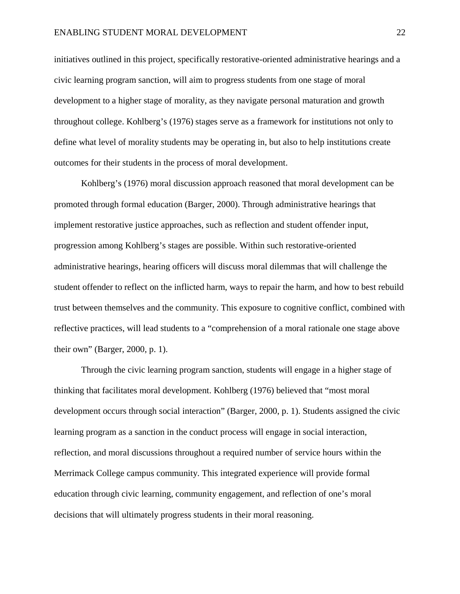initiatives outlined in this project, specifically restorative-oriented administrative hearings and a civic learning program sanction, will aim to progress students from one stage of moral development to a higher stage of morality, as they navigate personal maturation and growth throughout college. Kohlberg's (1976) stages serve as a framework for institutions not only to define what level of morality students may be operating in, but also to help institutions create outcomes for their students in the process of moral development.

Kohlberg's (1976) moral discussion approach reasoned that moral development can be promoted through formal education (Barger, 2000). Through administrative hearings that implement restorative justice approaches, such as reflection and student offender input, progression among Kohlberg's stages are possible. Within such restorative-oriented administrative hearings, hearing officers will discuss moral dilemmas that will challenge the student offender to reflect on the inflicted harm, ways to repair the harm, and how to best rebuild trust between themselves and the community. This exposure to cognitive conflict, combined with reflective practices, will lead students to a "comprehension of a moral rationale one stage above their own" (Barger, 2000, p. 1).

Through the civic learning program sanction, students will engage in a higher stage of thinking that facilitates moral development. Kohlberg (1976) believed that "most moral development occurs through social interaction" (Barger, 2000, p. 1). Students assigned the civic learning program as a sanction in the conduct process will engage in social interaction, reflection, and moral discussions throughout a required number of service hours within the Merrimack College campus community. This integrated experience will provide formal education through civic learning, community engagement, and reflection of one's moral decisions that will ultimately progress students in their moral reasoning.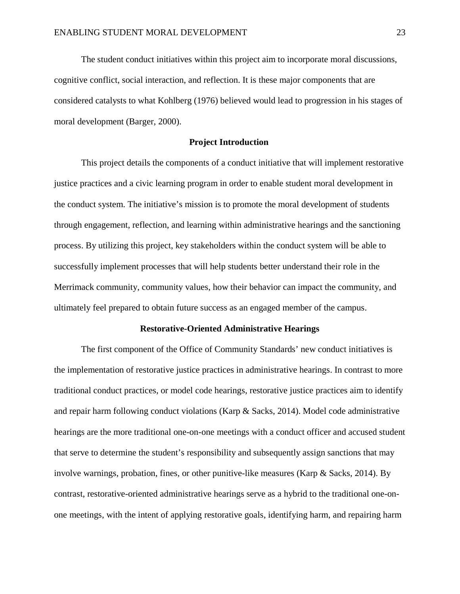The student conduct initiatives within this project aim to incorporate moral discussions, cognitive conflict, social interaction, and reflection. It is these major components that are considered catalysts to what Kohlberg (1976) believed would lead to progression in his stages of moral development (Barger, 2000).

# **Project Introduction**

This project details the components of a conduct initiative that will implement restorative justice practices and a civic learning program in order to enable student moral development in the conduct system. The initiative's mission is to promote the moral development of students through engagement, reflection, and learning within administrative hearings and the sanctioning process. By utilizing this project, key stakeholders within the conduct system will be able to successfully implement processes that will help students better understand their role in the Merrimack community, community values, how their behavior can impact the community, and ultimately feel prepared to obtain future success as an engaged member of the campus.

# **Restorative-Oriented Administrative Hearings**

The first component of the Office of Community Standards' new conduct initiatives is the implementation of restorative justice practices in administrative hearings. In contrast to more traditional conduct practices, or model code hearings, restorative justice practices aim to identify and repair harm following conduct violations (Karp & Sacks, 2014). Model code administrative hearings are the more traditional one-on-one meetings with a conduct officer and accused student that serve to determine the student's responsibility and subsequently assign sanctions that may involve warnings, probation, fines, or other punitive-like measures (Karp & Sacks, 2014). By contrast, restorative-oriented administrative hearings serve as a hybrid to the traditional one-onone meetings, with the intent of applying restorative goals, identifying harm, and repairing harm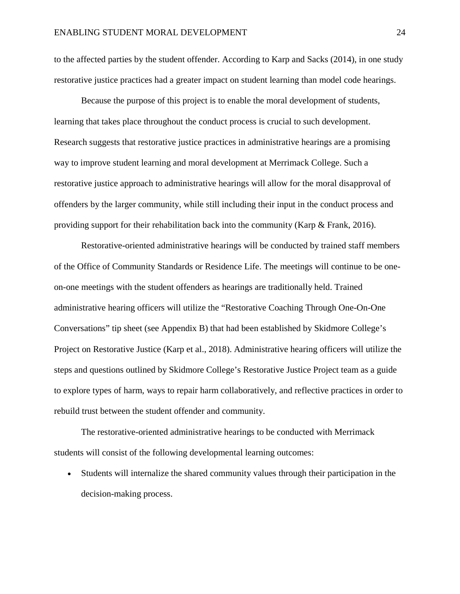to the affected parties by the student offender. According to Karp and Sacks (2014), in one study restorative justice practices had a greater impact on student learning than model code hearings.

Because the purpose of this project is to enable the moral development of students, learning that takes place throughout the conduct process is crucial to such development. Research suggests that restorative justice practices in administrative hearings are a promising way to improve student learning and moral development at Merrimack College. Such a restorative justice approach to administrative hearings will allow for the moral disapproval of offenders by the larger community, while still including their input in the conduct process and providing support for their rehabilitation back into the community (Karp & Frank, 2016).

Restorative-oriented administrative hearings will be conducted by trained staff members of the Office of Community Standards or Residence Life. The meetings will continue to be oneon-one meetings with the student offenders as hearings are traditionally held. Trained administrative hearing officers will utilize the "Restorative Coaching Through One-On-One Conversations" tip sheet (see Appendix B) that had been established by Skidmore College's Project on Restorative Justice (Karp et al., 2018). Administrative hearing officers will utilize the steps and questions outlined by Skidmore College's Restorative Justice Project team as a guide to explore types of harm, ways to repair harm collaboratively, and reflective practices in order to rebuild trust between the student offender and community.

The restorative-oriented administrative hearings to be conducted with Merrimack students will consist of the following developmental learning outcomes:

• Students will internalize the shared community values through their participation in the decision-making process.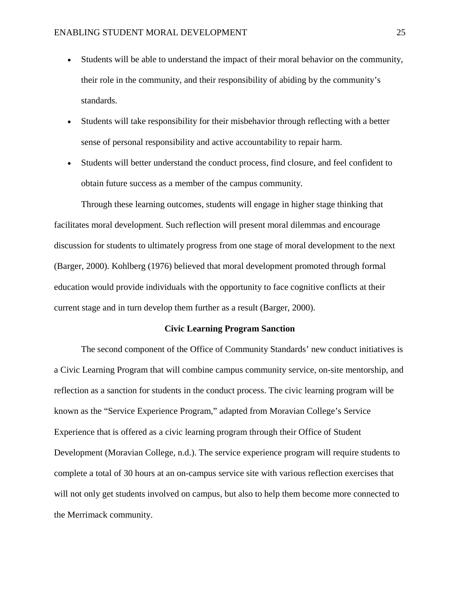- Students will be able to understand the impact of their moral behavior on the community, their role in the community, and their responsibility of abiding by the community's standards.
- Students will take responsibility for their misbehavior through reflecting with a better sense of personal responsibility and active accountability to repair harm.
- Students will better understand the conduct process, find closure, and feel confident to obtain future success as a member of the campus community.

Through these learning outcomes, students will engage in higher stage thinking that facilitates moral development. Such reflection will present moral dilemmas and encourage discussion for students to ultimately progress from one stage of moral development to the next (Barger, 2000). Kohlberg (1976) believed that moral development promoted through formal education would provide individuals with the opportunity to face cognitive conflicts at their current stage and in turn develop them further as a result (Barger, 2000).

#### **Civic Learning Program Sanction**

The second component of the Office of Community Standards' new conduct initiatives is a Civic Learning Program that will combine campus community service, on-site mentorship, and reflection as a sanction for students in the conduct process. The civic learning program will be known as the "Service Experience Program," adapted from Moravian College's Service Experience that is offered as a civic learning program through their Office of Student Development (Moravian College, n.d.). The service experience program will require students to complete a total of 30 hours at an on-campus service site with various reflection exercises that will not only get students involved on campus, but also to help them become more connected to the Merrimack community.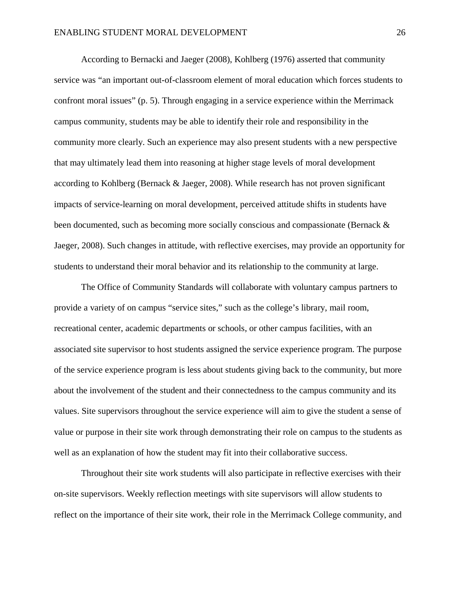According to Bernacki and Jaeger (2008), Kohlberg (1976) asserted that community service was "an important out-of-classroom element of moral education which forces students to confront moral issues" (p. 5). Through engaging in a service experience within the Merrimack campus community, students may be able to identify their role and responsibility in the community more clearly. Such an experience may also present students with a new perspective that may ultimately lead them into reasoning at higher stage levels of moral development according to Kohlberg (Bernack & Jaeger, 2008). While research has not proven significant impacts of service-learning on moral development, perceived attitude shifts in students have been documented, such as becoming more socially conscious and compassionate (Bernack & Jaeger, 2008). Such changes in attitude, with reflective exercises, may provide an opportunity for students to understand their moral behavior and its relationship to the community at large.

The Office of Community Standards will collaborate with voluntary campus partners to provide a variety of on campus "service sites," such as the college's library, mail room, recreational center, academic departments or schools, or other campus facilities, with an associated site supervisor to host students assigned the service experience program. The purpose of the service experience program is less about students giving back to the community, but more about the involvement of the student and their connectedness to the campus community and its values. Site supervisors throughout the service experience will aim to give the student a sense of value or purpose in their site work through demonstrating their role on campus to the students as well as an explanation of how the student may fit into their collaborative success.

Throughout their site work students will also participate in reflective exercises with their on-site supervisors. Weekly reflection meetings with site supervisors will allow students to reflect on the importance of their site work, their role in the Merrimack College community, and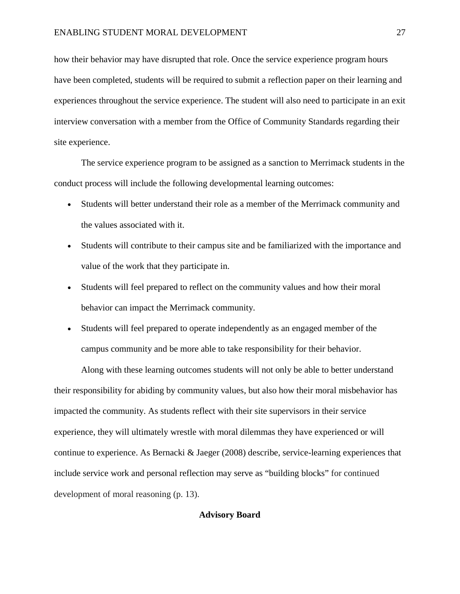how their behavior may have disrupted that role. Once the service experience program hours have been completed, students will be required to submit a reflection paper on their learning and experiences throughout the service experience. The student will also need to participate in an exit interview conversation with a member from the Office of Community Standards regarding their site experience.

The service experience program to be assigned as a sanction to Merrimack students in the conduct process will include the following developmental learning outcomes:

- Students will better understand their role as a member of the Merrimack community and the values associated with it.
- Students will contribute to their campus site and be familiarized with the importance and value of the work that they participate in.
- Students will feel prepared to reflect on the community values and how their moral behavior can impact the Merrimack community.
- Students will feel prepared to operate independently as an engaged member of the campus community and be more able to take responsibility for their behavior.

Along with these learning outcomes students will not only be able to better understand their responsibility for abiding by community values, but also how their moral misbehavior has impacted the community. As students reflect with their site supervisors in their service experience, they will ultimately wrestle with moral dilemmas they have experienced or will continue to experience. As Bernacki & Jaeger (2008) describe, service-learning experiences that include service work and personal reflection may serve as "building blocks" for continued development of moral reasoning (p. 13).

#### **Advisory Board**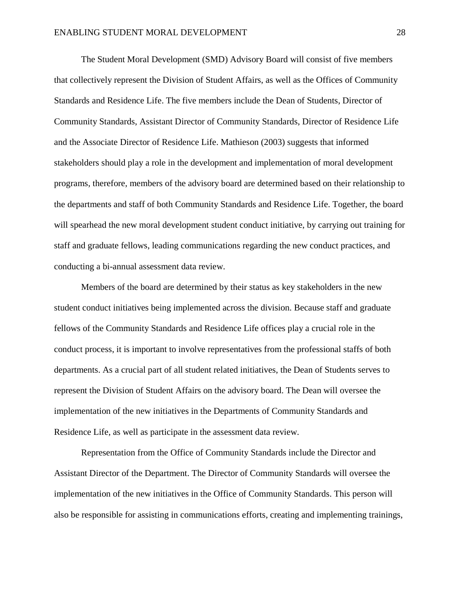The Student Moral Development (SMD) Advisory Board will consist of five members that collectively represent the Division of Student Affairs, as well as the Offices of Community Standards and Residence Life. The five members include the Dean of Students, Director of Community Standards, Assistant Director of Community Standards, Director of Residence Life and the Associate Director of Residence Life. Mathieson (2003) suggests that informed stakeholders should play a role in the development and implementation of moral development programs, therefore, members of the advisory board are determined based on their relationship to the departments and staff of both Community Standards and Residence Life. Together, the board will spearhead the new moral development student conduct initiative, by carrying out training for staff and graduate fellows, leading communications regarding the new conduct practices, and conducting a bi-annual assessment data review.

Members of the board are determined by their status as key stakeholders in the new student conduct initiatives being implemented across the division. Because staff and graduate fellows of the Community Standards and Residence Life offices play a crucial role in the conduct process, it is important to involve representatives from the professional staffs of both departments. As a crucial part of all student related initiatives, the Dean of Students serves to represent the Division of Student Affairs on the advisory board. The Dean will oversee the implementation of the new initiatives in the Departments of Community Standards and Residence Life, as well as participate in the assessment data review.

Representation from the Office of Community Standards include the Director and Assistant Director of the Department. The Director of Community Standards will oversee the implementation of the new initiatives in the Office of Community Standards. This person will also be responsible for assisting in communications efforts, creating and implementing trainings,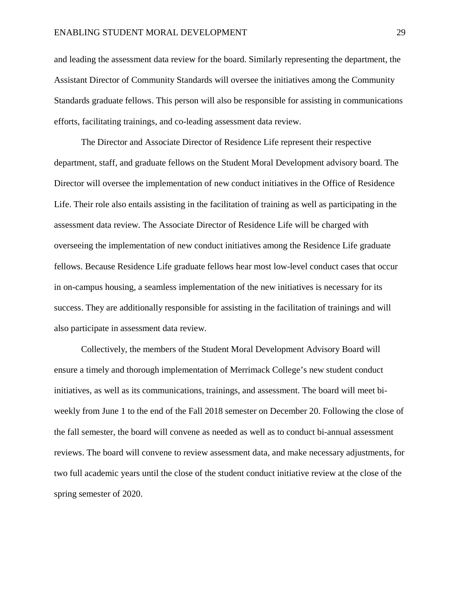and leading the assessment data review for the board. Similarly representing the department, the Assistant Director of Community Standards will oversee the initiatives among the Community Standards graduate fellows. This person will also be responsible for assisting in communications efforts, facilitating trainings, and co-leading assessment data review.

The Director and Associate Director of Residence Life represent their respective department, staff, and graduate fellows on the Student Moral Development advisory board. The Director will oversee the implementation of new conduct initiatives in the Office of Residence Life. Their role also entails assisting in the facilitation of training as well as participating in the assessment data review. The Associate Director of Residence Life will be charged with overseeing the implementation of new conduct initiatives among the Residence Life graduate fellows. Because Residence Life graduate fellows hear most low-level conduct cases that occur in on-campus housing, a seamless implementation of the new initiatives is necessary for its success. They are additionally responsible for assisting in the facilitation of trainings and will also participate in assessment data review.

Collectively, the members of the Student Moral Development Advisory Board will ensure a timely and thorough implementation of Merrimack College's new student conduct initiatives, as well as its communications, trainings, and assessment. The board will meet biweekly from June 1 to the end of the Fall 2018 semester on December 20. Following the close of the fall semester, the board will convene as needed as well as to conduct bi-annual assessment reviews. The board will convene to review assessment data, and make necessary adjustments, for two full academic years until the close of the student conduct initiative review at the close of the spring semester of 2020.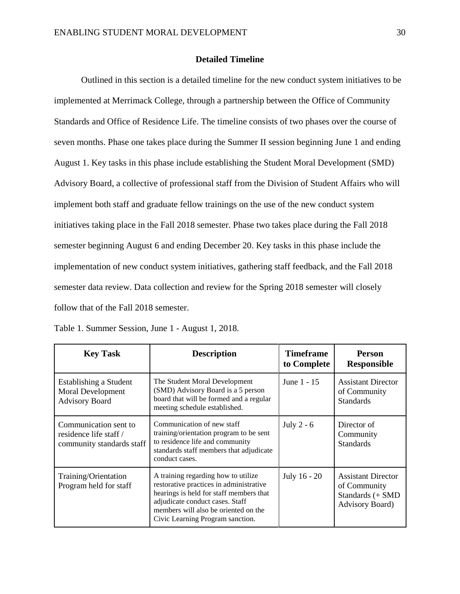# **Detailed Timeline**

Outlined in this section is a detailed timeline for the new conduct system initiatives to be implemented at Merrimack College, through a partnership between the Office of Community Standards and Office of Residence Life. The timeline consists of two phases over the course of seven months. Phase one takes place during the Summer II session beginning June 1 and ending August 1. Key tasks in this phase include establishing the Student Moral Development (SMD) Advisory Board, a collective of professional staff from the Division of Student Affairs who will implement both staff and graduate fellow trainings on the use of the new conduct system initiatives taking place in the Fall 2018 semester. Phase two takes place during the Fall 2018 semester beginning August 6 and ending December 20. Key tasks in this phase include the implementation of new conduct system initiatives, gathering staff feedback, and the Fall 2018 semester data review. Data collection and review for the Spring 2018 semester will closely follow that of the Fall 2018 semester.

| <b>Key Task</b>                                                              | <b>Description</b>                                                                                                                                                                                                                       | <b>Timeframe</b><br>to Complete | <b>Person</b><br><b>Responsible</b>                                                      |
|------------------------------------------------------------------------------|------------------------------------------------------------------------------------------------------------------------------------------------------------------------------------------------------------------------------------------|---------------------------------|------------------------------------------------------------------------------------------|
| Establishing a Student<br><b>Moral Development</b><br><b>Advisory Board</b>  | The Student Moral Development<br>(SMD) Advisory Board is a 5 person<br>board that will be formed and a regular<br>meeting schedule established.                                                                                          | June 1 - 15                     | <b>Assistant Director</b><br>of Community<br><b>Standards</b>                            |
| Communication sent to<br>residence life staff /<br>community standards staff | Communication of new staff<br>training/orientation program to be sent<br>to residence life and community<br>standards staff members that adjudicate<br>conduct cases.                                                                    | July 2 - $6$                    | Director of<br>Community<br><b>Standards</b>                                             |
| Training/Orientation<br>Program held for staff                               | A training regarding how to utilize<br>restorative practices in administrative<br>hearings is held for staff members that<br>adjudicate conduct cases. Staff<br>members will also be oriented on the<br>Civic Learning Program sanction. | July 16 - 20                    | <b>Assistant Director</b><br>of Community<br>Standards (+ SMD<br><b>Advisory Board</b> ) |

Table 1. Summer Session, June 1 - August 1, 2018.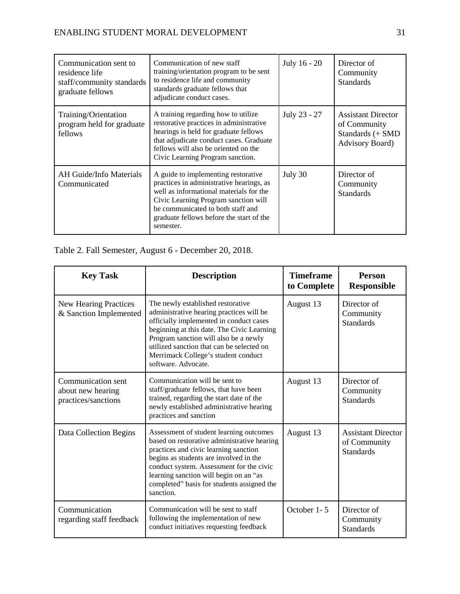| Communication sent to<br>residence life<br>staff/community standards<br>graduate fellows | Communication of new staff<br>training/orientation program to be sent<br>to residence life and community<br>standards graduate fellows that<br>adjudicate conduct cases.                                                                                         | July 16 - 20 | Director of<br>Community<br><b>Standards</b>                                             |
|------------------------------------------------------------------------------------------|------------------------------------------------------------------------------------------------------------------------------------------------------------------------------------------------------------------------------------------------------------------|--------------|------------------------------------------------------------------------------------------|
| Training/Orientation<br>program held for graduate<br>fellows                             | A training regarding how to utilize<br>restorative practices in administrative<br>hearings is held for graduate fellows<br>that adjudicate conduct cases. Graduate<br>fellows will also be oriented on the<br>Civic Learning Program sanction.                   | July 23 - 27 | <b>Assistant Director</b><br>of Community<br>Standards (+ SMD<br><b>Advisory Board</b> ) |
| <b>AH Guide/Info Materials</b><br>Communicated                                           | A guide to implementing restorative<br>practices in administrative hearings, as<br>well as informational materials for the<br>Civic Learning Program sanction will<br>be communicated to both staff and<br>graduate fellows before the start of the<br>semester. | July 30      | Director of<br>Community<br><b>Standards</b>                                             |

# Table 2. Fall Semester, August 6 - December 20, 2018.

| <b>Key Task</b>                                                | <b>Description</b>                                                                                                                                                                                                                                                                                                         | <b>Timeframe</b><br>to Complete | <b>Person</b><br><b>Responsible</b>                           |
|----------------------------------------------------------------|----------------------------------------------------------------------------------------------------------------------------------------------------------------------------------------------------------------------------------------------------------------------------------------------------------------------------|---------------------------------|---------------------------------------------------------------|
| New Hearing Practices<br>& Sanction Implemented                | The newly established restorative<br>administrative hearing practices will be<br>officially implemented in conduct cases<br>beginning at this date. The Civic Learning<br>Program sanction will also be a newly<br>utilized sanction that can be selected on<br>Merrimack College's student conduct<br>software. Advocate. | August 13                       | Director of<br>Community<br><b>Standards</b>                  |
| Communication sent<br>about new hearing<br>practices/sanctions | Communication will be sent to<br>staff/graduate fellows, that have been<br>trained, regarding the start date of the<br>newly established administrative hearing<br>practices and sanction                                                                                                                                  | August 13                       | Director of<br>Community<br><b>Standards</b>                  |
| Data Collection Begins                                         | Assessment of student learning outcomes<br>based on restorative administrative hearing<br>practices and civic learning sanction<br>begins as students are involved in the<br>conduct system. Assessment for the civic<br>learning sanction will begin on an "as<br>completed" basis for students assigned the<br>sanction. | August 13                       | <b>Assistant Director</b><br>of Community<br><b>Standards</b> |
| Communication<br>regarding staff feedback                      | Communication will be sent to staff<br>following the implementation of new<br>conduct initiatives requesting feedback                                                                                                                                                                                                      | October 1-5                     | Director of<br>Community<br><b>Standards</b>                  |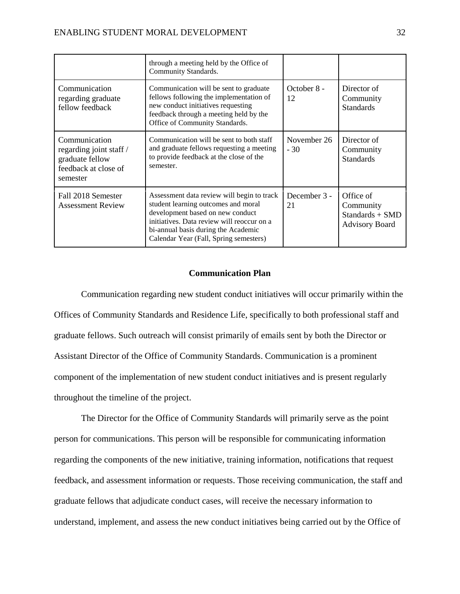|                                                                                                 | through a meeting held by the Office of<br>Community Standards.                                                                                                                                                                                      |                      |                                                                    |
|-------------------------------------------------------------------------------------------------|------------------------------------------------------------------------------------------------------------------------------------------------------------------------------------------------------------------------------------------------------|----------------------|--------------------------------------------------------------------|
| Communication<br>regarding graduate<br>fellow feedback                                          | Communication will be sent to graduate<br>fellows following the implementation of<br>new conduct initiatives requesting<br>feedback through a meeting held by the<br>Office of Community Standards.                                                  | October 8 -<br>12    | Director of<br>Community<br><b>Standards</b>                       |
| Communication<br>regarding joint staff /<br>graduate fellow<br>feedback at close of<br>semester | Communication will be sent to both staff<br>and graduate fellows requesting a meeting<br>to provide feedback at the close of the<br>semester.                                                                                                        | November 26<br>$-30$ | Director of<br>Community<br><b>Standards</b>                       |
| Fall 2018 Semester<br><b>Assessment Review</b>                                                  | Assessment data review will begin to track<br>student learning outcomes and moral<br>development based on new conduct<br>initiatives. Data review will reoccur on a<br>bi-annual basis during the Academic<br>Calendar Year (Fall, Spring semesters) | December 3 -<br>21   | Office of<br>Community<br>Standards + SMD<br><b>Advisory Board</b> |

# **Communication Plan**

Communication regarding new student conduct initiatives will occur primarily within the Offices of Community Standards and Residence Life, specifically to both professional staff and graduate fellows. Such outreach will consist primarily of emails sent by both the Director or Assistant Director of the Office of Community Standards. Communication is a prominent component of the implementation of new student conduct initiatives and is present regularly throughout the timeline of the project.

The Director for the Office of Community Standards will primarily serve as the point person for communications. This person will be responsible for communicating information regarding the components of the new initiative, training information, notifications that request feedback, and assessment information or requests. Those receiving communication, the staff and graduate fellows that adjudicate conduct cases, will receive the necessary information to understand, implement, and assess the new conduct initiatives being carried out by the Office of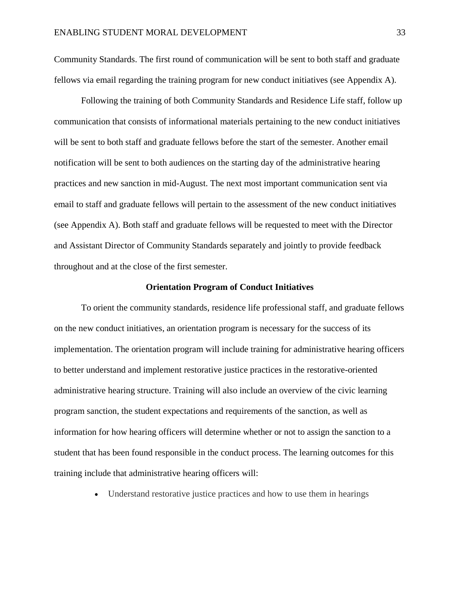Community Standards. The first round of communication will be sent to both staff and graduate fellows via email regarding the training program for new conduct initiatives (see Appendix A).

Following the training of both Community Standards and Residence Life staff, follow up communication that consists of informational materials pertaining to the new conduct initiatives will be sent to both staff and graduate fellows before the start of the semester. Another email notification will be sent to both audiences on the starting day of the administrative hearing practices and new sanction in mid-August. The next most important communication sent via email to staff and graduate fellows will pertain to the assessment of the new conduct initiatives (see Appendix A). Both staff and graduate fellows will be requested to meet with the Director and Assistant Director of Community Standards separately and jointly to provide feedback throughout and at the close of the first semester.

#### **Orientation Program of Conduct Initiatives**

To orient the community standards, residence life professional staff, and graduate fellows on the new conduct initiatives, an orientation program is necessary for the success of its implementation. The orientation program will include training for administrative hearing officers to better understand and implement restorative justice practices in the restorative-oriented administrative hearing structure. Training will also include an overview of the civic learning program sanction, the student expectations and requirements of the sanction, as well as information for how hearing officers will determine whether or not to assign the sanction to a student that has been found responsible in the conduct process. The learning outcomes for this training include that administrative hearing officers will:

• Understand restorative justice practices and how to use them in hearings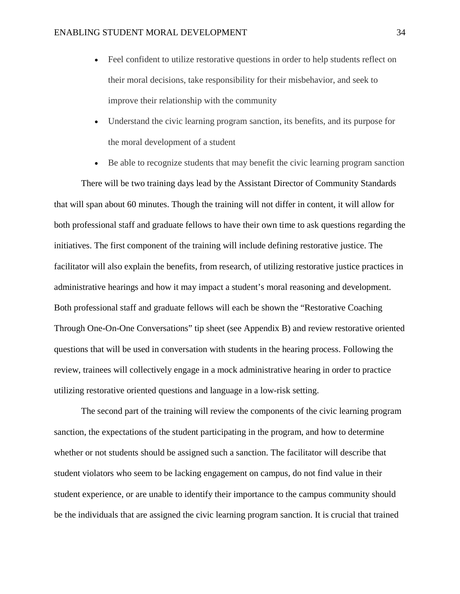- Feel confident to utilize restorative questions in order to help students reflect on their moral decisions, take responsibility for their misbehavior, and seek to improve their relationship with the community
- Understand the civic learning program sanction, its benefits, and its purpose for the moral development of a student
- Be able to recognize students that may benefit the civic learning program sanction

There will be two training days lead by the Assistant Director of Community Standards that will span about 60 minutes. Though the training will not differ in content, it will allow for both professional staff and graduate fellows to have their own time to ask questions regarding the initiatives. The first component of the training will include defining restorative justice. The facilitator will also explain the benefits, from research, of utilizing restorative justice practices in administrative hearings and how it may impact a student's moral reasoning and development. Both professional staff and graduate fellows will each be shown the "Restorative Coaching Through One-On-One Conversations" tip sheet (see Appendix B) and review restorative oriented questions that will be used in conversation with students in the hearing process. Following the review, trainees will collectively engage in a mock administrative hearing in order to practice utilizing restorative oriented questions and language in a low-risk setting.

The second part of the training will review the components of the civic learning program sanction, the expectations of the student participating in the program, and how to determine whether or not students should be assigned such a sanction. The facilitator will describe that student violators who seem to be lacking engagement on campus, do not find value in their student experience, or are unable to identify their importance to the campus community should be the individuals that are assigned the civic learning program sanction. It is crucial that trained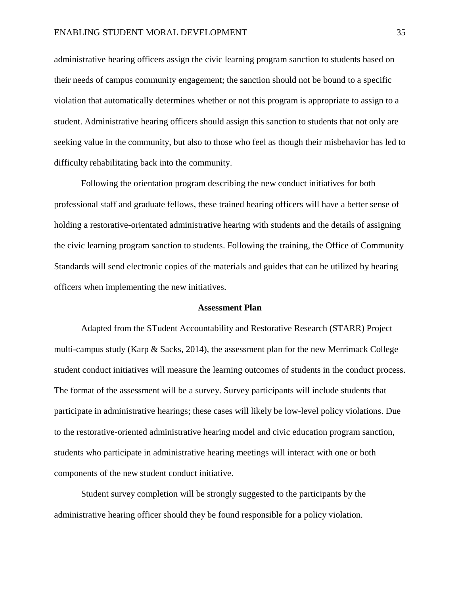administrative hearing officers assign the civic learning program sanction to students based on their needs of campus community engagement; the sanction should not be bound to a specific violation that automatically determines whether or not this program is appropriate to assign to a student. Administrative hearing officers should assign this sanction to students that not only are seeking value in the community, but also to those who feel as though their misbehavior has led to difficulty rehabilitating back into the community.

Following the orientation program describing the new conduct initiatives for both professional staff and graduate fellows, these trained hearing officers will have a better sense of holding a restorative-orientated administrative hearing with students and the details of assigning the civic learning program sanction to students. Following the training, the Office of Community Standards will send electronic copies of the materials and guides that can be utilized by hearing officers when implementing the new initiatives.

#### **Assessment Plan**

Adapted from the STudent Accountability and Restorative Research (STARR) Project multi-campus study (Karp & Sacks, 2014), the assessment plan for the new Merrimack College student conduct initiatives will measure the learning outcomes of students in the conduct process. The format of the assessment will be a survey. Survey participants will include students that participate in administrative hearings; these cases will likely be low-level policy violations. Due to the restorative-oriented administrative hearing model and civic education program sanction, students who participate in administrative hearing meetings will interact with one or both components of the new student conduct initiative.

Student survey completion will be strongly suggested to the participants by the administrative hearing officer should they be found responsible for a policy violation.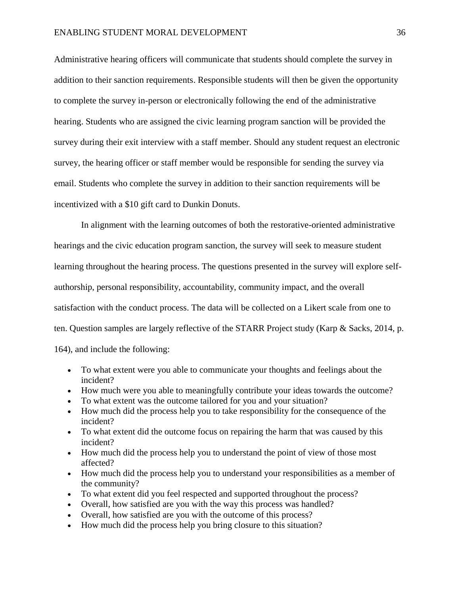# ENABLING STUDENT MORAL DEVELOPMENT 36

Administrative hearing officers will communicate that students should complete the survey in addition to their sanction requirements. Responsible students will then be given the opportunity to complete the survey in-person or electronically following the end of the administrative hearing. Students who are assigned the civic learning program sanction will be provided the survey during their exit interview with a staff member. Should any student request an electronic survey, the hearing officer or staff member would be responsible for sending the survey via email. Students who complete the survey in addition to their sanction requirements will be incentivized with a \$10 gift card to Dunkin Donuts.

In alignment with the learning outcomes of both the restorative-oriented administrative hearings and the civic education program sanction, the survey will seek to measure student learning throughout the hearing process. The questions presented in the survey will explore selfauthorship, personal responsibility, accountability, community impact, and the overall satisfaction with the conduct process. The data will be collected on a Likert scale from one to ten. Question samples are largely reflective of the STARR Project study (Karp & Sacks, 2014, p. 164), and include the following:

• To what extent were you able to communicate your thoughts and feelings about the incident?

- How much were you able to meaningfully contribute your ideas towards the outcome?
- To what extent was the outcome tailored for you and your situation?
- How much did the process help you to take responsibility for the consequence of the incident?
- To what extent did the outcome focus on repairing the harm that was caused by this incident?
- How much did the process help you to understand the point of view of those most affected?
- How much did the process help you to understand your responsibilities as a member of the community?
- To what extent did you feel respected and supported throughout the process?
- Overall, how satisfied are you with the way this process was handled?
- Overall, how satisfied are you with the outcome of this process?
- How much did the process help you bring closure to this situation?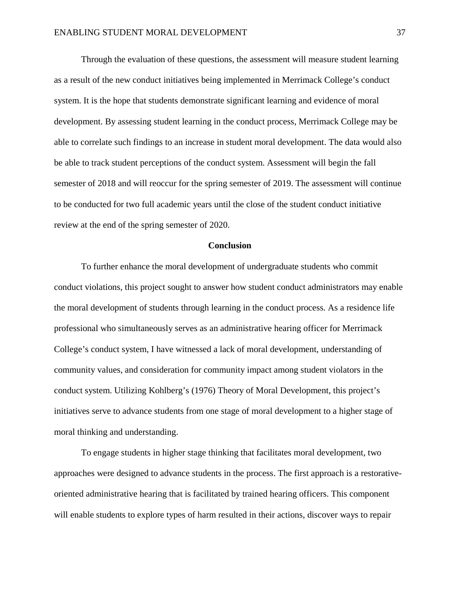Through the evaluation of these questions, the assessment will measure student learning as a result of the new conduct initiatives being implemented in Merrimack College's conduct system. It is the hope that students demonstrate significant learning and evidence of moral development. By assessing student learning in the conduct process, Merrimack College may be able to correlate such findings to an increase in student moral development. The data would also be able to track student perceptions of the conduct system. Assessment will begin the fall semester of 2018 and will reoccur for the spring semester of 2019. The assessment will continue to be conducted for two full academic years until the close of the student conduct initiative review at the end of the spring semester of 2020.

#### **Conclusion**

To further enhance the moral development of undergraduate students who commit conduct violations, this project sought to answer how student conduct administrators may enable the moral development of students through learning in the conduct process. As a residence life professional who simultaneously serves as an administrative hearing officer for Merrimack College's conduct system, I have witnessed a lack of moral development, understanding of community values, and consideration for community impact among student violators in the conduct system. Utilizing Kohlberg's (1976) Theory of Moral Development, this project's initiatives serve to advance students from one stage of moral development to a higher stage of moral thinking and understanding.

To engage students in higher stage thinking that facilitates moral development, two approaches were designed to advance students in the process. The first approach is a restorativeoriented administrative hearing that is facilitated by trained hearing officers. This component will enable students to explore types of harm resulted in their actions, discover ways to repair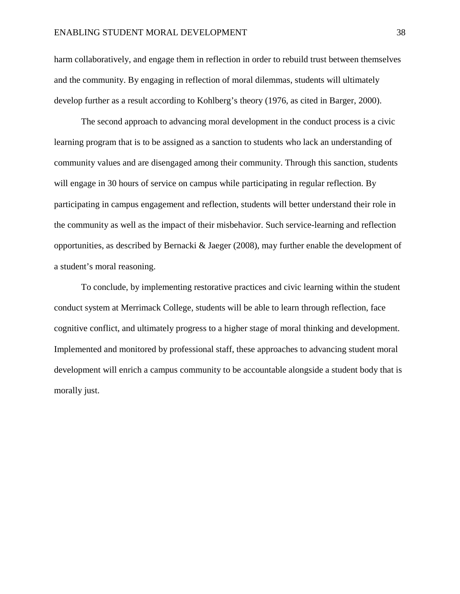## ENABLING STUDENT MORAL DEVELOPMENT 38

harm collaboratively, and engage them in reflection in order to rebuild trust between themselves and the community. By engaging in reflection of moral dilemmas, students will ultimately develop further as a result according to Kohlberg's theory (1976, as cited in Barger, 2000).

The second approach to advancing moral development in the conduct process is a civic learning program that is to be assigned as a sanction to students who lack an understanding of community values and are disengaged among their community. Through this sanction, students will engage in 30 hours of service on campus while participating in regular reflection. By participating in campus engagement and reflection, students will better understand their role in the community as well as the impact of their misbehavior. Such service-learning and reflection opportunities, as described by Bernacki & Jaeger (2008), may further enable the development of a student's moral reasoning.

To conclude, by implementing restorative practices and civic learning within the student conduct system at Merrimack College, students will be able to learn through reflection, face cognitive conflict, and ultimately progress to a higher stage of moral thinking and development. Implemented and monitored by professional staff, these approaches to advancing student moral development will enrich a campus community to be accountable alongside a student body that is morally just.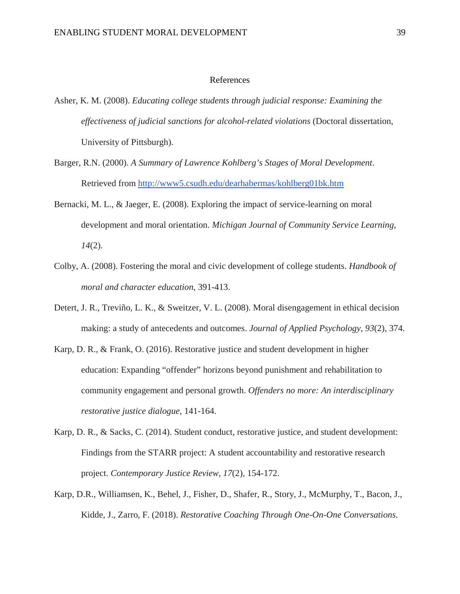# References

- Asher, K. M. (2008). *Educating college students through judicial response: Examining the effectiveness of judicial sanctions for alcohol-related violations* (Doctoral dissertation, University of Pittsburgh).
- Barger, R.N. (2000). *A Summary of Lawrence Kohlberg's Stages of Moral Development*. Retrieved from<http://www5.csudh.edu/dearhabermas/kohlberg01bk.htm>
- Bernacki, M. L., & Jaeger, E. (2008). Exploring the impact of service-learning on moral development and moral orientation. *Michigan Journal of Community Service Learning*, *14*(2).
- Colby, A. (2008). Fostering the moral and civic development of college students. *Handbook of moral and character education*, 391-413.
- Detert, J. R., Treviño, L. K., & Sweitzer, V. L. (2008). Moral disengagement in ethical decision making: a study of antecedents and outcomes. *Journal of Applied Psychology*, *93*(2), 374.
- Karp, D. R., & Frank, O. (2016). Restorative justice and student development in higher education: Expanding "offender" horizons beyond punishment and rehabilitation to community engagement and personal growth. *Offenders no more: An interdisciplinary restorative justice dialogue*, 141-164.
- Karp, D. R., & Sacks, C. (2014). Student conduct, restorative justice, and student development: Findings from the STARR project: A student accountability and restorative research project. *Contemporary Justice Review*, *17*(2), 154-172.
- Karp, D.R., Williamsen, K., Behel, J., Fisher, D., Shafer, R., Story, J., McMurphy, T., Bacon, J., Kidde, J., Zarro, F. (2018). *Restorative Coaching Through One-On-One Conversations*.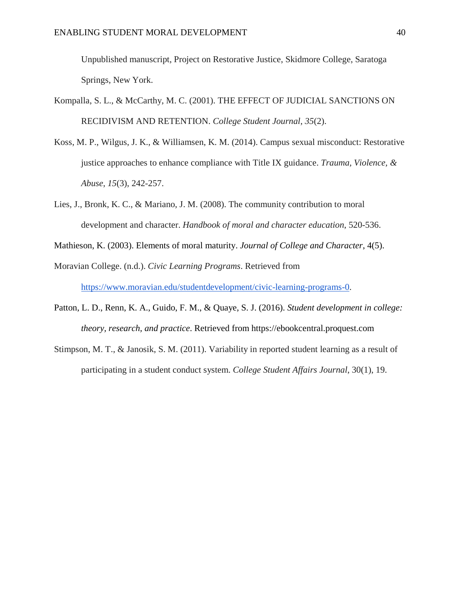Unpublished manuscript, Project on Restorative Justice, Skidmore College, Saratoga Springs, New York.

- Kompalla, S. L., & McCarthy, M. C. (2001). THE EFFECT OF JUDICIAL SANCTIONS ON RECIDIVISM AND RETENTION. *College Student Journal*, *35*(2).
- Koss, M. P., Wilgus, J. K., & Williamsen, K. M. (2014). Campus sexual misconduct: Restorative justice approaches to enhance compliance with Title IX guidance. *Trauma, Violence, & Abuse*, *15*(3), 242-257.
- Lies, J., Bronk, K. C., & Mariano, J. M. (2008). The community contribution to moral development and character. *Handbook of moral and character education*, 520-536.
- Mathieson, K. (2003). Elements of moral maturity. *Journal of College and Character*, 4(5).
- Moravian College. (n.d.). *Civic Learning Programs*. Retrieved from [https://www.moravian.edu/studentdevelopment/civic-learning-programs-0.](https://www.moravian.edu/studentdevelopment/civic-learning-programs-0)
- Patton, L. D., Renn, K. A., Guido, F. M., & Quaye, S. J. (2016). *Student development in college: theory, research, and practice*. Retrieved from https://ebookcentral.proquest.com
- Stimpson, M. T., & Janosik, S. M. (2011). Variability in reported student learning as a result of participating in a student conduct system. *College Student Affairs Journal*, 30(1), 19.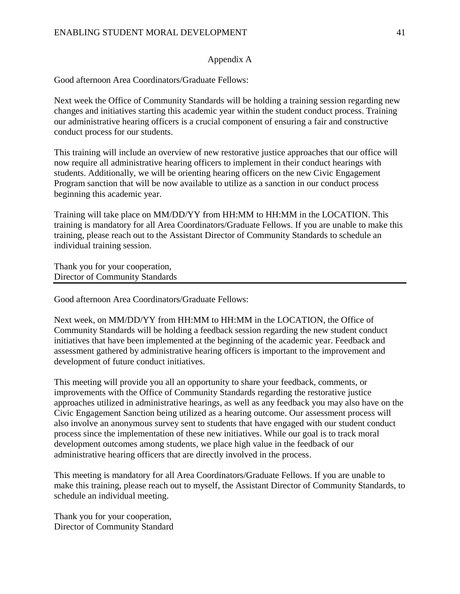# Appendix A

Good afternoon Area Coordinators/Graduate Fellows:

Next week the Office of Community Standards will be holding a training session regarding new changes and initiatives starting this academic year within the student conduct process. Training our administrative hearing officers is a crucial component of ensuring a fair and constructive conduct process for our students.

This training will include an overview of new restorative justice approaches that our office will now require all administrative hearing officers to implement in their conduct hearings with students. Additionally, we will be orienting hearing officers on the new Civic Engagement Program sanction that will be now available to utilize as a sanction in our conduct process beginning this academic year.

Training will take place on MM/DD/YY from HH:MM to HH:MM in the LOCATION. This training is mandatory for all Area Coordinators/Graduate Fellows. If you are unable to make this training, please reach out to the Assistant Director of Community Standards to schedule an individual training session.

Thank you for your cooperation, Director of Community Standards

Good afternoon Area Coordinators/Graduate Fellows:

Next week, on MM/DD/YY from HH:MM to HH:MM in the LOCATION, the Office of Community Standards will be holding a feedback session regarding the new student conduct initiatives that have been implemented at the beginning of the academic year. Feedback and assessment gathered by administrative hearing officers is important to the improvement and development of future conduct initiatives.

This meeting will provide you all an opportunity to share your feedback, comments, or improvements with the Office of Community Standards regarding the restorative justice approaches utilized in administrative hearings, as well as any feedback you may also have on the Civic Engagement Sanction being utilized as a hearing outcome. Our assessment process will also involve an anonymous survey sent to students that have engaged with our student conduct process since the implementation of these new initiatives. While our goal is to track moral development outcomes among students, we place high value in the feedback of our administrative hearing officers that are directly involved in the process.

This meeting is mandatory for all Area Coordinators/Graduate Fellows. If you are unable to make this training, please reach out to myself, the Assistant Director of Community Standards, to schedule an individual meeting.

Thank you for your cooperation, Director of Community Standard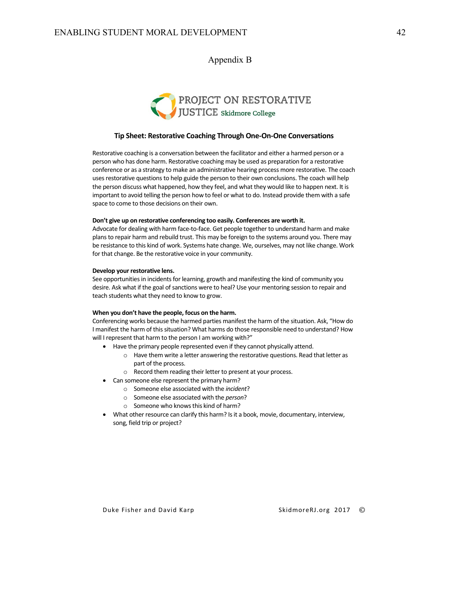# Appendix B



#### **Tip Sheet: Restorative Coaching Through One-On-One Conversations**

Restorative coaching is a conversation between the facilitator and either a harmed person or a person who has done harm. Restorative coaching may be used as preparation for a restorative conference or as a strategy to make an administrative hearing process more restorative. The coach uses restorative questions to help guide the person to their own conclusions. The coach will help the person discuss what happened, how they feel, and what they would like to happen next. It is important to avoid telling the person how to feel or what to do. Instead provide them with a safe space to come to those decisions on their own.

#### **Don't give up on restorative conferencing too easily. Conferences are worth it.**

Advocate for dealing with harm face-to-face. Get people together to understand harm and make plans to repair harm and rebuild trust. This may be foreign to the systems around you. There may be resistance to this kind of work. Systems hate change. We, ourselves, may not like change. Work for that change. Be the restorative voice in your community.

#### **Develop your restorative lens.**

See opportunities in incidents for learning, growth and manifesting the kind of community you desire. Ask what if the goal of sanctions were to heal? Use your mentoring session to repair and teach students what they need to know to grow.

#### **When you don't have the people, focus on the harm.**

Conferencing works because the harmed parties manifest the harm of the situation. Ask, "How do I manifest the harm of this situation? What harms do those responsible need to understand? How will I represent that harm to the person I am working with?"

- Have the primary people represented even if they cannot physically attend.
	- o Have them write a letter answering the restorative questions. Read that letter as part of the process.
	- o Record them reading their letter to present at your process.
- Can someone else represent the primary harm?
	- o Someone else associated with the *incident*?
	- o Someone else associated with the *person*?
	- o Someone who knows this kind of harm?
- What other resource can clarify this harm? Is it a book, movie, documentary, interview, song, field trip or project?

SkidmoreRJ.org 2017 ©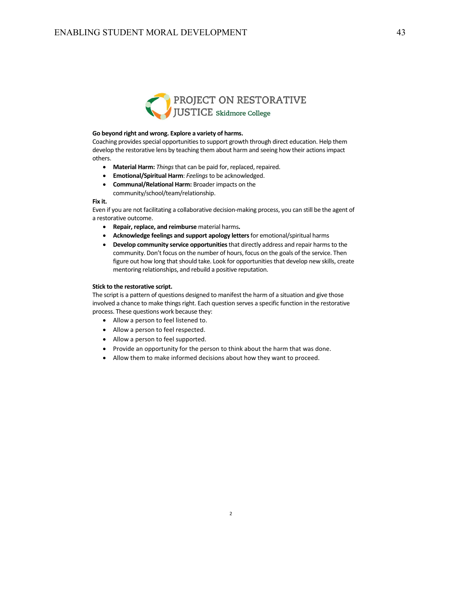

#### **Go beyond right and wrong. Explore a variety of harms.**

Coaching provides special opportunities to support growth through direct education. Help them develop the restorative lens by teaching them about harm and seeing how their actions impact others.

- **Material Harm:** *Things*that can be paid for, replaced, repaired.
- **Emotional/Spiritual Harm**: *Feelings*to be acknowledged.
- **Communal/Relational Harm:** Broader impacts on the community/school/team/relationship.

#### **Fix it.**

Even if you are not facilitating a collaborative decision-making process, you can still be the agent of a restorative outcome.

- **Repair, replace, and reimburse** material harms**.**
- **Acknowledge feelings and support apology letters**for emotional/spiritual harms
- **Develop community service opportunities** that directly address and repair harms to the community. Don't focus on the number of hours, focus on the goals of the service. Then figure out how long that should take. Look for opportunities that develop new skills, create mentoring relationships, and rebuild a positive reputation.

#### **Stick to the restorative script.**

The script is a pattern of questions designed to manifest the harm of a situation and give those involved a chance to make things right. Each question serves a specific function in the restorative process. These questions work because they:

- Allow a person to feel listened to.
- Allow a person to feel respected.
- Allow a person to feel supported.
- Provide an opportunity for the person to think about the harm that was done.
- Allow them to make informed decisions about how they want to proceed.